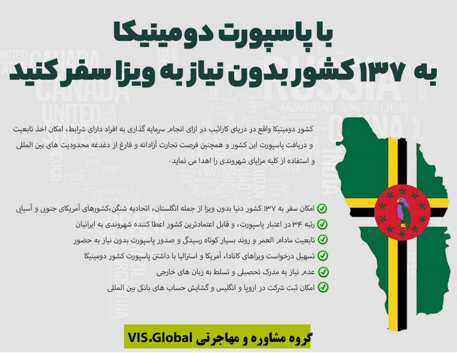## با پاسپورت دومینیکا به ۱۳۷ کشور بدون نیاز به ویزا سفر کنید

کشور دومینیکا واقع در دریای کارائیب در ازای انجامر سرمایه گذاری به افراد دارای شرایط، امکان اخذ تابعیت و دریافت پاسپورت این کشور و همچنین فرصت تجارت آزادانه و فارغ از دغدغه محدودیت های بین المللی و استفاده از کلیه مزایای شهروندی را اهدا می نماید.

- امکان سفر به ۱۳۷ کشور دنیا بدون ویزا از جمله انگلستان، اتحادیه شنگن،کشورهای آمریکای جنوبی و آسیایی M
	- رتبه ۳۴ در اعتبار پاسپورت، و قابل اعتمادترین کشور اعطا کننده شهروندی به ایرانیان  $\bm{\heartsuit}$
	- تابعیت مادامر العمر و روند بسیار کوتاه رسیدگی و صدور پاسپورت بدون نیاز به حضور  $\bm{\heartsuit}$ 
		- سهیل درخواست ویزاهای کانادا، آمریکا و استرالیا با داشتن پاسپورت کشور دومینیکا  $\bm{\mathcal{Q}}$ 
			- عدم نیاز به مدرک تحصیلی و تسلط به زبان های خارجی  $\bigcirc$
			- امکان ثبت شرکت در اروپا و انگلیس و گشایش حساب های بانکی بین المللی  $\bm{\mathcal{Q}}$

## گروه مشاوره و مهاجرتی VIS.Global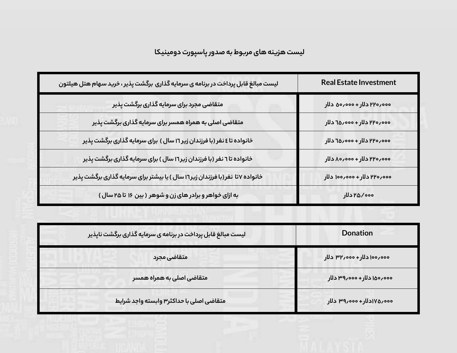**لیست هزینه های مربوط به صدور پاسپورت دومینیکا**

| لیست مبالغ قابل پرداخت در برنامه ی سرمایه گذاری برگشت پذیر ، خرید سهام هتل هیلتون | <b>Real Estate Investment</b> |
|-----------------------------------------------------------------------------------|-------------------------------|
| متقاضی مجرد برای سرمایه گذاری برگشت پذیر                                          | ٥٥٥,٥٩٢ دلار + ٥٥٥,٥٥ دلار    |
| متقاضی اصلی به همراه همسر برای سرمایه گذاری برگشت پذیر                            | ٥٥٥,٥٢٢ دلار + ٥٥٥,٥٥ دلار    |
| خانواده تا ٤ نفر (با فرزندان زیر ١٦ سال ) برای سرمایه گذاری برگشت پذیر            | ٥٥٥,٥٢٢ دلار + ٥٥٥,٥٥ دلار    |
| خانواده تا ٦ نفر (با فرزندان زیر١٦ سال ) برای سرمایه گذاری برگشت پذیر             | ٥٥٥,٥٧٢ دلار + ٥٥٥,٥٥ دلار    |
| خانواده ۷تا نفر(با فرزندان زیر۱٦ سال ) یا بیشتر برای سرمایه گذاری برگشت پذیر      | ٥٥٥,٥٩٢ دلار + ١٥٥,٥٥٥ دلار   |
| به ازای خواهر و برادر های زن و شوهر ( بین ۱۶ تا ۲۵ سال )                          | ٥٥٥/ ٢٥/٥٥٥                   |

| لیست مبالغ قابل پرداخت در برنامه ی سرمایه گذاری برگشت ناپذیر | <b>Donation</b>             |
|--------------------------------------------------------------|-----------------------------|
| متقاضى مجرد                                                  | ٥٥٥,٥٥٥ دلار + ٥٥٥, ٣٢ دلار |
| متقاضی اصلی به همراه همسر                                    | ٥٥٥,٥٥١ دلار + ٥٥٥,٥٩ دلار  |
| متقاضى اصلى با حداكثر۳ وابسته واجد شرايط                     | ٥٥٥٠م١٧٥٧دلار+٥٥٥٥م/٣٩ دلار |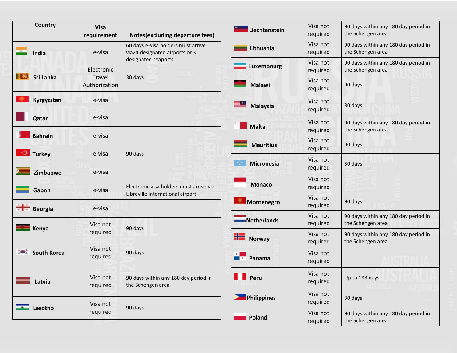| <b>Country</b>     | <b>Visa</b><br>requirement                   | <b>Notes(excluding departure fees)</b>                                                       |
|--------------------|----------------------------------------------|----------------------------------------------------------------------------------------------|
| <b>India</b>       | e-visa                                       | 60 days e-visa holders must arrive<br>via24 designated airports or 3<br>designated seaports. |
| Sri Lanka          | Electronic<br><b>Travel</b><br>Authorization | 30 days                                                                                      |
| Kyrgyzstan         | e-visa                                       |                                                                                              |
| Qatar              | e-visa                                       |                                                                                              |
| <b>Bahrain</b>     | e-visa                                       |                                                                                              |
| <b>Turkey</b>      | e-visa                                       | 90 days                                                                                      |
| Zimbabwe           | e-visa                                       |                                                                                              |
| Gabon              | e-visa                                       | Electronic visa holders must arrive via<br>Libreville international airport                  |
| Georgia            | e-visa                                       |                                                                                              |
| Kenya              | Visa not<br>required                         | 90 days                                                                                      |
| <b>South Korea</b> | Visa not<br>required                         | 90 days                                                                                      |
| Latvia             | Visa not<br>required                         | 90 days within any 180 day period in<br>the Schengen area                                    |
| Lesotho            | Visa not<br>required                         | 90 days                                                                                      |

| Liechtenstein        | Visa not<br>required | 90 days within any 180 day period in<br>the Schengen area |
|----------------------|----------------------|-----------------------------------------------------------|
| <b>The Lithuania</b> | Visa not<br>required | 90 days within any 180 day period in<br>the Schengen area |
| <b>Luxembourg</b>    | Visa not<br>required | 90 days within any 180 day period in<br>the Schengen area |
| <b>Malawi</b>        | Visa not<br>required | 90 days                                                   |
| <b>Malaysia</b>      | Visa not<br>required | 30 days                                                   |
| <b>Malta</b>         | Visa not<br>required | 90 days within any 180 day period in<br>the Schengen area |
| <b>Mauritius</b>     | Visa not<br>required | 90 days                                                   |
| <b>Micronesia</b>    | Visa not<br>required | 30 days                                                   |
| <b>Monaco</b>        | Visa not<br>required |                                                           |
| Montenegro           | Visa not<br>required | 90 days                                                   |
| <b>Netherlands</b>   | Visa not<br>required | 90 days within any 180 day period in<br>the Schengen area |
| <b>Norway</b>        | Visa not<br>required | 90 days within any 180 day period in<br>the Schengen area |
| Panama               | Visa not<br>required |                                                           |
| Peru                 | Visa not<br>required | Up to 183 days                                            |
| <b>Philippines</b>   | Visa not<br>required | 30 days                                                   |
| <b>Poland</b>        | Visa not<br>required | 90 days within any 180 day period in<br>the Schengen area |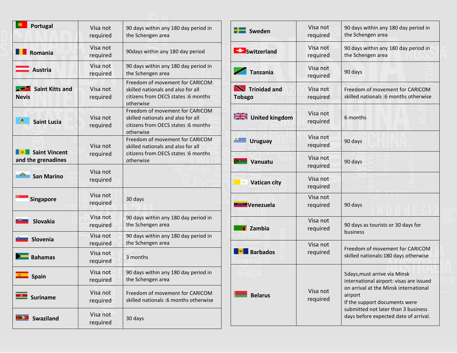| Portugal                                   | Visa not<br>required | 90 days within any 180 day period in<br>the Schengen area                                                                 |
|--------------------------------------------|----------------------|---------------------------------------------------------------------------------------------------------------------------|
| Romania                                    | Visa not<br>required | 90days within any 180 day period                                                                                          |
| <b>Austria</b>                             | Visa not<br>required | 90 days within any 180 day period in<br>the Schengen area                                                                 |
| <b>Saint Kitts and</b><br><b>Nevis</b>     | Visa not<br>required | Freedom of movement for CARICOM<br>skilled nationals and also for all<br>citizens from OECS states :6 months<br>otherwise |
| А<br><b>Saint Lucia</b>                    | Visa not<br>required | Freedom of movement for CARICOM<br>skilled nationals and also for all<br>citizens from OECS states :6 months<br>otherwise |
| <b>Saint Vincent</b><br>and the grenadines | Visa not<br>required | Freedom of movement for CARICOM<br>skilled nationals and also for all<br>citizens from OECS states :6 months<br>otherwise |
| o<br><b>San Marino</b>                     | Visa not<br>required |                                                                                                                           |
| <b>Singapore</b>                           | Visa not<br>required | 30 days                                                                                                                   |
| <b>Slovakia</b>                            | Visa not<br>required | 90 days within any 180 day period in<br>the Schengen area                                                                 |
| Slovenia                                   | Visa not<br>required | 90 days within any 180 day period in<br>the Schengen area                                                                 |
| <b>Bahamas</b>                             | Visa not<br>required | 3 months                                                                                                                  |
| <b>Spain</b>                               | Visa not<br>required | 90 days within any 180 day period in<br>the Schengen area                                                                 |
| <b>Suriname</b>                            | Visa not<br>required | Freedom of movement for CARICOM<br>skilled nationals :6 months otherwise                                                  |
| <b>Swaziland</b>                           | Visa not<br>required | 30 days                                                                                                                   |

| Sweden                        | Visa not<br>required | 90 days within any 180 day period in<br>the Schengen area                                                                                                                                                                                    |
|-------------------------------|----------------------|----------------------------------------------------------------------------------------------------------------------------------------------------------------------------------------------------------------------------------------------|
| <b>Exercise Switzerland</b>   | Visa not<br>required | 90 days within any 180 day period in<br>the Schengen area                                                                                                                                                                                    |
| <b>Tanzania</b>               | Visa not<br>required | 90 days                                                                                                                                                                                                                                      |
| Trinidad and<br><b>Tobago</b> | Visa not<br>required | Freedom of movement for CARICOM<br>skilled nationals :6 months otherwise                                                                                                                                                                     |
| United kingdom                | Visa not<br>required | 6 months                                                                                                                                                                                                                                     |
| <b>Uruguay</b>                | Visa not<br>required | 90 days                                                                                                                                                                                                                                      |
| Vanuatu                       | Visa not<br>required | 90 days                                                                                                                                                                                                                                      |
| <b>Vatican city</b>           | Visa not<br>required |                                                                                                                                                                                                                                              |
| Venezuela                     | Visa not<br>required | 90 days                                                                                                                                                                                                                                      |
| Zambia                        | Visa not<br>required | 90 days as tourists or 30 days for<br>business                                                                                                                                                                                               |
| <b>Barbados</b>               | Visa not<br>required | Freedom of movement for CARICOM<br>skilled nationals:180 days otherwise                                                                                                                                                                      |
| <b>Belarus</b>                | Visa not<br>required | 5days, must arrive via Minsk<br>international airport: visas are issued<br>on arrival at the Minsk international<br>airport<br>If the support documents were<br>submitted not later than 3 business<br>days before expected date of arrival. |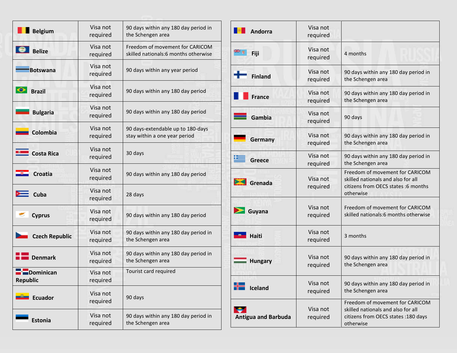| <b>Belgium</b>              | Visa not<br>required | 90 days within any 180 day period in<br>the Schengen area               |
|-----------------------------|----------------------|-------------------------------------------------------------------------|
| <b>Belize</b>               | Visa not<br>required | Freedom of movement for CARICOM<br>skilled nationals:6 months otherwise |
| <b>Botswana</b>             | Visa not<br>required | 90 days within any year period                                          |
| <b>Brazil</b>               | Visa not<br>required | 90 days within any 180 day period                                       |
| <b>Bulgaria</b>             | Visa not<br>required | 90 days within any 180 day period                                       |
| Colombia                    | Visa not<br>required | 90 days-extendable up to 180-days<br>stay within a one year period      |
| <b>Costa Rica</b>           | Visa not<br>required | 30 days                                                                 |
| <b>Croatia</b>              | Visa not<br>required | 90 days within any 180 day period                                       |
| Cuba                        | Visa not<br>required | 28 days                                                                 |
| <b>Cyprus</b>               | Visa not<br>required | 90 days within any 180 day period                                       |
| <b>Czech Republic</b>       | Visa not<br>required | 90 days within any 180 day period in<br>the Schengen area               |
| <b>Denmark</b>              | Visa not<br>required | 90 days within any 180 day period in<br>the Schengen area               |
| <b>Dominican</b><br>керирнс | Visa not<br>required | Tourist card required                                                   |
| <b>Ecuador</b>              | Visa not<br>required | 90 days                                                                 |
| <b>Estonia</b>              | Visa not<br>required | 90 days within any 180 day period in<br>the Schengen area               |

| <b>Andorra</b>                  | Visa not<br>required |                                                                                                                            |
|---------------------------------|----------------------|----------------------------------------------------------------------------------------------------------------------------|
| Fiji                            | Visa not<br>required | 4 months                                                                                                                   |
| <b>Finland</b>                  | Visa not<br>required | 90 days within any 180 day period in<br>the Schengen area                                                                  |
| <b>France</b>                   | Visa not<br>required | 90 days within any 180 day period in<br>the Schengen area                                                                  |
| Gambia                          | Visa not<br>required | 90 days                                                                                                                    |
| Germany                         | Visa not<br>required | 90 days within any 180 day period in<br>the Schengen area                                                                  |
| Greece                          | Visa not<br>required | 90 days within any 180 day period in<br>the Schengen area                                                                  |
| Grenada                         | Visa not<br>required | Freedom of movement for CARICOM<br>skilled nationals and also for all<br>citizens from OECS states :6 months<br>otherwise  |
| Guyana                          | Visa not<br>required | Freedom of movement for CARICOM<br>skilled nationals:6 months otherwise                                                    |
| <b>Haiti</b>                    | Visa not<br>required | 3 months                                                                                                                   |
| <b>Hungary</b>                  | Visa not<br>required | 90 days within any 180 day period in<br>the Schengen area                                                                  |
| Iceland                         | Visa not<br>required | 90 days within any 180 day period in<br>the Schengen area                                                                  |
| ÷<br><b>Antigua and Barbuda</b> | Visa not<br>required | Freedom of movement for CARICOM<br>skilled nationals and also for all<br>citizens from OECS states : 180 days<br>otherwise |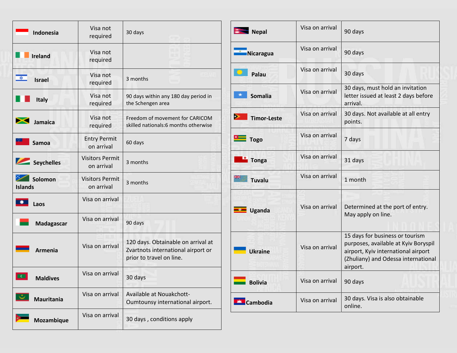| Indonesia                         | Visa not<br>required                 | 30 days                                                                                              |
|-----------------------------------|--------------------------------------|------------------------------------------------------------------------------------------------------|
| Ireland                           | Visa not<br>required                 |                                                                                                      |
| $\bullet$<br><b>Israel</b>        | Visa not<br>required                 | 3 months                                                                                             |
| <b>Italy</b>                      | Visa not<br>required                 | 90 days within any 180 day period in<br>the Schengen area                                            |
| Jamaica                           | Visa not<br>required                 | Freedom of movement for CARICOM<br>skilled nationals:6 months otherwise                              |
| <b>Samoa</b>                      | <b>Entry Permit</b><br>on arrival    | 60 days                                                                                              |
| Seychelles                        | <b>Visitors Permit</b><br>on arrival | 3 months                                                                                             |
| Solomon<br><b>Islands</b>         | <b>Visitors Permit</b><br>on arrival | 3 months                                                                                             |
| Laos                              | Visa on arrival                      |                                                                                                      |
| Madagascar                        | Visa on arrival                      | 90 days                                                                                              |
| <b>Armenia</b>                    | Visa on arrival                      | 120 days. Obtainable on arrival at<br>Zvartnots international airport or<br>prior to travel on line. |
| $\overline{C}$<br><b>Maldives</b> | Visa on arrival                      | 30 days                                                                                              |
| <b>Mauritania</b>                 | Visa on arrival                      | Available at Nouakchott-<br>Oumtounsy international airport.                                         |
| Mozambique                        | Visa on arrival                      | 30 days, conditions apply                                                                            |

| Nepal                   | Visa on arrival | 90 days                                                                                                                                                           |
|-------------------------|-----------------|-------------------------------------------------------------------------------------------------------------------------------------------------------------------|
| Nicaragua               | Visa on arrival | 90 days                                                                                                                                                           |
| Palau                   | Visa on arrival | 30 days                                                                                                                                                           |
| <b>Somalia</b>          | Visa on arrival | 30 days, must hold an invitation<br>letter issued at least 2 days before<br>arrival.                                                                              |
| ⋗<br><b>Timor-Leste</b> | Visa on arrival | 30 days. Not available at all entry<br>points.                                                                                                                    |
| <b>The Togo</b>         | Visa on arrival | 7 days                                                                                                                                                            |
| <b>Tonga</b>            | Visa on arrival | 31 days                                                                                                                                                           |
| <b>Tuvalu</b>           | Visa on arrival | 1 month                                                                                                                                                           |
| <b>Uganda</b>           | Visa on arrival | Determined at the port of entry.<br>May apply on line.                                                                                                            |
| <b>Ukraine</b>          | Visa on arrival | 15 days for business or tourism<br>purposes, available at Kyiv Boryspil<br>airport, Kyiv international airport<br>(Zhuliany) and Odessa international<br>airport. |
| <b>Bolivia</b>          | Visa on arrival | 90 days                                                                                                                                                           |
| Cambodia                | Visa on arrival | 30 days. Visa is also obtainable<br>online.                                                                                                                       |